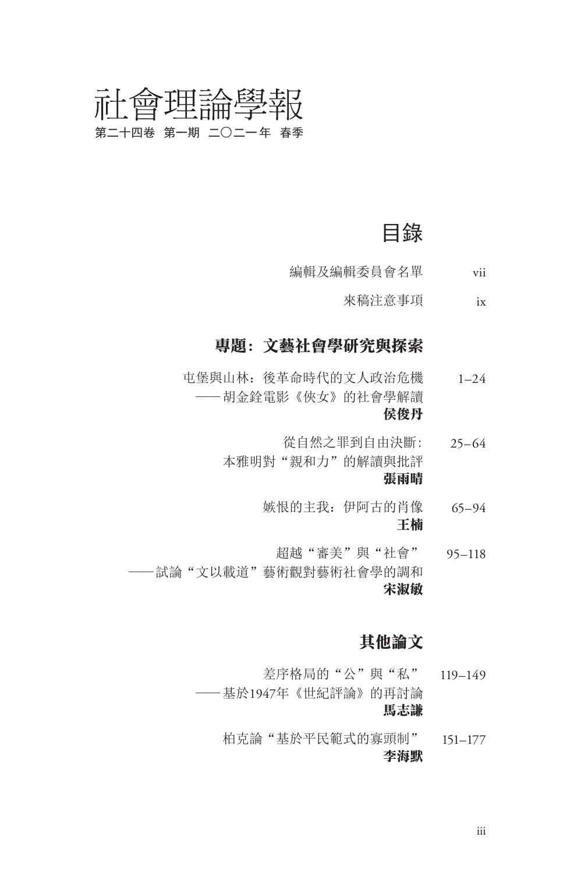### 會理論學報 正 第二十四卷 第一期 二〇二一年 春季

目錄

- 編輯及編輯委員會名單 vii
	- 來稿注意事項 ix

### 專題:文藝社會學研究與探索

- 屯堡與山林:後革命時代的文人政治危機 ——胡金銓電影《俠女》的社會學解讀  $1-24$ 侯俊丹
	- 從自然之罪到自由決斷: 本雅明對"親和力"的解讀與批評 25– 64 張雨晴
		- 嫉恨的主我:伊阿古的肖像 65–94 王楠
- 超越"審美"與"社會" 95–118 ——試論"文以載道"藝術觀對藝術社會學的調和 宋淑敏

### 其他論文

- 差序格局的"公"與"私" 119–149 ——基於1947年《世紀評論》的再討論 馬志謙
	- 柏克論"基於平民範式的寡頭制" 151–177 李海默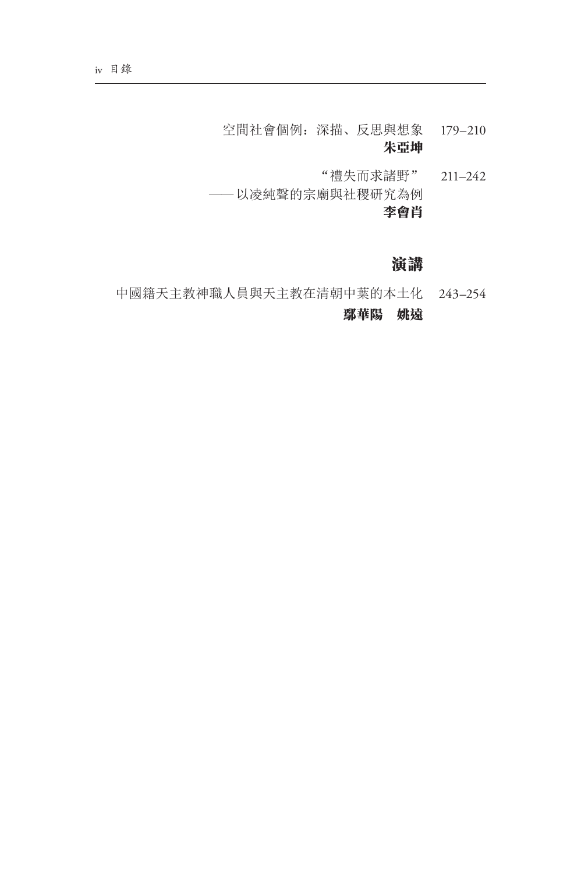- 空間社會個例:深描、反思與想象 179–210 朱亞坤
- "禮失而求諸野" 211–242 ——以凌純聲的宗廟與社稷研究為例 李會肖

### 演講

中國籍天主教神職人員與天主教在清朝中葉的本土化 243–254 鄢華陽 姚遠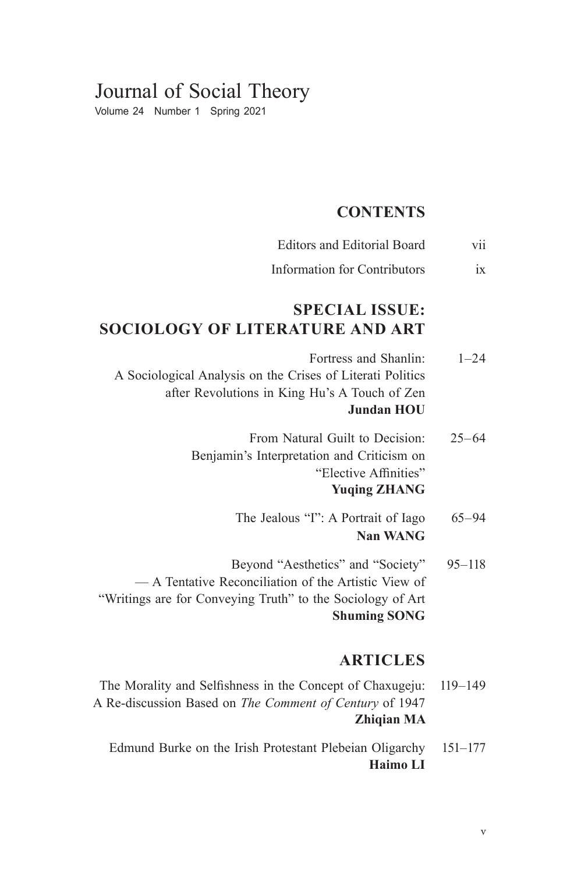# Journal of Social Theory

Volume 24 Number 1 Spring 2021

#### **CONTENTS**

- Editors and Editorial Board vii
- Information for Contributors ix

## **SPECIAL ISSUE: SOCIOLOGY OF LITERATURE AND ART**

- Fortress and Shanlin: A Sociological Analysis on the Crises of Literati Politics after Revolutions in King Hu's A Touch of Zen  $1 - 24$ **Jundan HOU**
	- From Natural Guilt to Decision: Benjamin's Interpretation and Criticism on "Elective Affinities"  $25 - 64$ **Yuqing ZHANG**
		- The Jealous "I": A Portrait of Iago 65–94 **Nan WANG**
- Beyond "Aesthetics" and "Society" — A Tentative Reconciliation of the Artistic View of "Writings are for Conveying Truth" to the Sociology of Art 95–118 **Shuming SONG**

### **ARTICLES**

- The Morality and Selfishness in the Concept of Chaxugeju: A Re-discussion Based on *The Comment of Century* of 1947 119–149 **Zhiqian MA**
	- Edmund Burke on the Irish Protestant Plebeian Oligarchy 151–177 **Haimo LI**